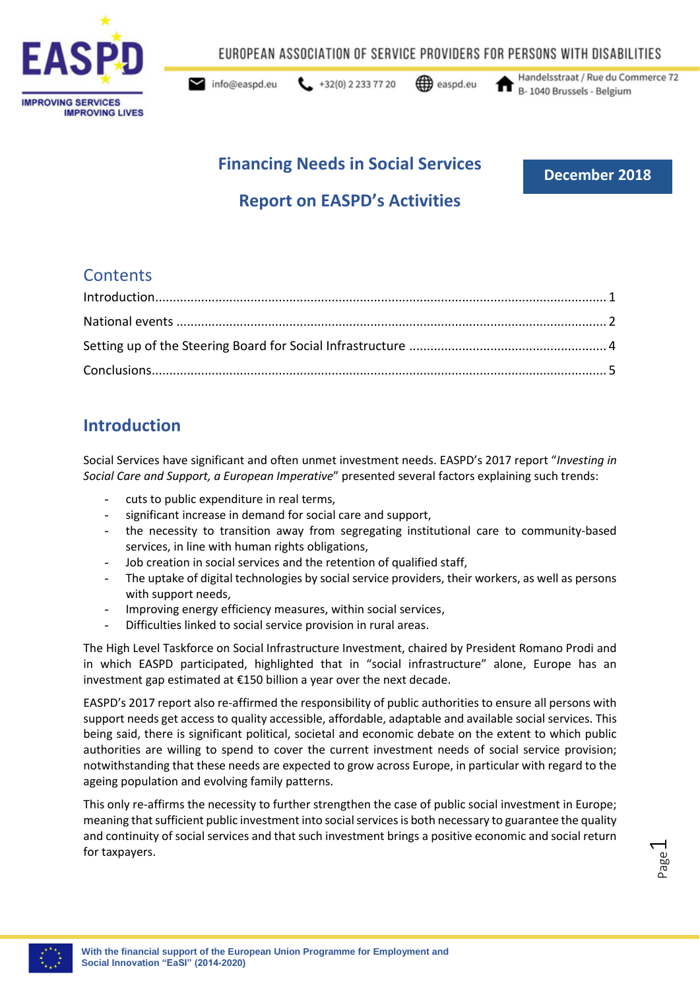

EUROPEAN ASSOCIATION OF SERVICE PROVIDERS FOR PERSONS WITH DISABILITIES

info@easpd.eu

 $\leftarrow$  +32(0) 2 233 77 20

easpd.eu

Handelsstraat / Rue du Commerce 72 B-1040 Brussels - Belgium

# **Financing Needs in Social Services**

**December 2018**

# **Report on EASPD's Activities**

### **Contents**

## <span id="page-0-0"></span>**Introduction**

Social Services have significant and often unmet investment needs. EASPD's 2017 report "*Investing in Social Care and Support, a European Imperative*" presented several factors explaining such trends:

- cuts to public expenditure in real terms,
- significant increase in demand for social care and support,
- the necessity to transition away from segregating institutional care to community-based services, in line with human rights obligations,
- Job creation in social services and the retention of qualified staff,
- The uptake of digital technologies by social service providers, their workers, as well as persons with support needs,
- Improving energy efficiency measures, within social services,
- Difficulties linked to social service provision in rural areas.

The High Level Taskforce on Social Infrastructure Investment, chaired by President Romano Prodi and in which EASPD participated, highlighted that in "social infrastructure" alone, Europe has an investment gap estimated at €150 billion a year over the next decade.

EASPD's 2017 report also re-affirmed the responsibility of public authorities to ensure all persons with support needs get access to quality accessible, affordable, adaptable and available social services. This being said, there is significant political, societal and economic debate on the extent to which public authorities are willing to spend to cover the current investment needs of social service provision; notwithstanding that these needs are expected to grow across Europe, in particular with regard to the ageing population and evolving family patterns.

This only re-affirms the necessity to further strengthen the case of public social investment in Europe; meaning that sufficient public investment into social services is both necessary to guarantee the quality and continuity of social services and that such investment brings a positive economic and social return for taxpayers.

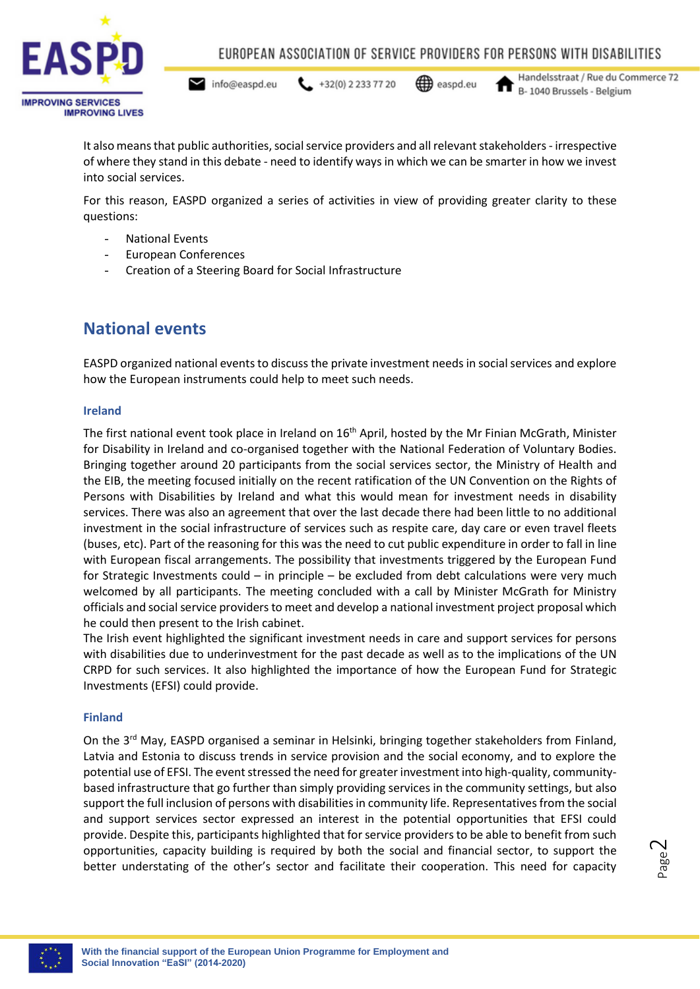

 $\blacktriangleright$  info@easpd.eu  $432(0) 22337720$ 

easpd.eu

Handelsstraat / Rue du Commerce 72 B-1040 Brussels - Belgium

It also means that public authorities, social service providers and all relevant stakeholders- irrespective of where they stand in this debate - need to identify ways in which we can be smarter in how we invest into social services.

For this reason, EASPD organized a series of activities in view of providing greater clarity to these questions:

- National Events
- European Conferences
- <span id="page-1-0"></span>- Creation of a Steering Board for Social Infrastructure

## **National events**

EASPD organized national events to discuss the private investment needs in social services and explore how the European instruments could help to meet such needs.

#### **Ireland**

The first national event took place in Ireland on 16<sup>th</sup> April, hosted by the Mr Finian McGrath, Minister for Disability in Ireland and co-organised together with the National Federation of Voluntary Bodies. Bringing together around 20 participants from the social services sector, the Ministry of Health and the EIB, the meeting focused initially on the recent ratification of the UN Convention on the Rights of Persons with Disabilities by Ireland and what this would mean for investment needs in disability services. There was also an agreement that over the last decade there had been little to no additional investment in the social infrastructure of services such as respite care, day care or even travel fleets (buses, etc). Part of the reasoning for this was the need to cut public expenditure in order to fall in line with European fiscal arrangements. The possibility that investments triggered by the European Fund for Strategic Investments could – in principle – be excluded from debt calculations were very much welcomed by all participants. The meeting concluded with a call by Minister McGrath for Ministry officials and social service providers to meet and develop a national investment project proposal which he could then present to the Irish cabinet.

The Irish event highlighted the significant investment needs in care and support services for persons with disabilities due to underinvestment for the past decade as well as to the implications of the UN CRPD for such services. It also highlighted the importance of how the European Fund for Strategic Investments (EFSI) could provide.

#### **Finland**

On the 3<sup>rd</sup> May, EASPD organised a seminar in Helsinki, bringing together stakeholders from Finland, Latvia and Estonia to discuss trends in service provision and the social economy, and to explore the potential use of EFSI. The event stressed the need for greater investment into high-quality, communitybased infrastructure that go further than simply providing services in the community settings, but also support the full inclusion of persons with disabilities in community life. Representatives from the social and support services sector expressed an interest in the potential opportunities that EFSI could provide. Despite this, participants highlighted that for service providers to be able to benefit from such opportunities, capacity building is required by both the social and financial sector, to support the better understating of the other's sector and facilitate their cooperation. This need for capacity

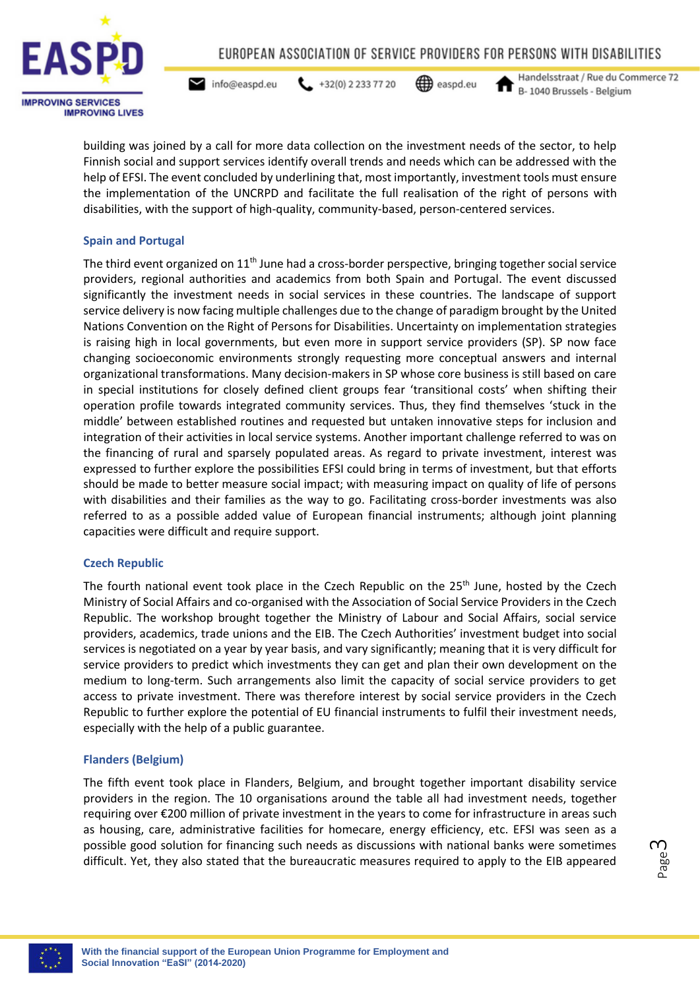

 $\blacktriangleright$  info@easpd.eu  $\leftarrow$  +32(0) 2 233 77 20

easpd.eu

Handelsstraat / Rue du Commerce 72 B-1040 Brussels - Belgium

building was joined by a call for more data collection on the investment needs of the sector, to help Finnish social and support services identify overall trends and needs which can be addressed with the help of EFSI. The event concluded by underlining that, most importantly, investment tools must ensure the implementation of the UNCRPD and facilitate the full realisation of the right of persons with disabilities, with the support of high-quality, community-based, person-centered services.

### **Spain and Portugal**

The third event organized on  $11<sup>th</sup>$  June had a cross-border perspective, bringing together social service providers, regional authorities and academics from both Spain and Portugal. The event discussed significantly the investment needs in social services in these countries. The landscape of support service delivery is now facing multiple challenges due to the change of paradigm brought by the United Nations Convention on the Right of Persons for Disabilities. Uncertainty on implementation strategies is raising high in local governments, but even more in support service providers (SP). SP now face changing socioeconomic environments strongly requesting more conceptual answers and internal organizational transformations. Many decision-makers in SP whose core business is still based on care in special institutions for closely defined client groups fear 'transitional costs' when shifting their operation profile towards integrated community services. Thus, they find themselves 'stuck in the middle' between established routines and requested but untaken innovative steps for inclusion and integration of their activities in local service systems. Another important challenge referred to was on the financing of rural and sparsely populated areas. As regard to private investment, interest was expressed to further explore the possibilities EFSI could bring in terms of investment, but that efforts should be made to better measure social impact; with measuring impact on quality of life of persons with disabilities and their families as the way to go. Facilitating cross-border investments was also referred to as a possible added value of European financial instruments; although joint planning capacities were difficult and require support.

### **Czech Republic**

The fourth national event took place in the Czech Republic on the 25<sup>th</sup> June, hosted by the Czech Ministry of Social Affairs and co-organised with the Association of Social Service Providers in the Czech Republic. The workshop brought together the Ministry of Labour and Social Affairs, social service providers, academics, trade unions and the EIB. The Czech Authorities' investment budget into social services is negotiated on a year by year basis, and vary significantly; meaning that it is very difficult for service providers to predict which investments they can get and plan their own development on the medium to long-term. Such arrangements also limit the capacity of social service providers to get access to private investment. There was therefore interest by social service providers in the Czech Republic to further explore the potential of EU financial instruments to fulfil their investment needs, especially with the help of a public guarantee.

#### **Flanders (Belgium)**

The fifth event took place in Flanders, Belgium, and brought together important disability service providers in the region. The 10 organisations around the table all had investment needs, together requiring over €200 million of private investment in the years to come for infrastructure in areas such as housing, care, administrative facilities for homecare, energy efficiency, etc. EFSI was seen as a possible good solution for financing such needs as discussions with national banks were sometimes difficult. Yet, they also stated that the bureaucratic measures required to apply to the EIB appeared

```
Page
ന
```
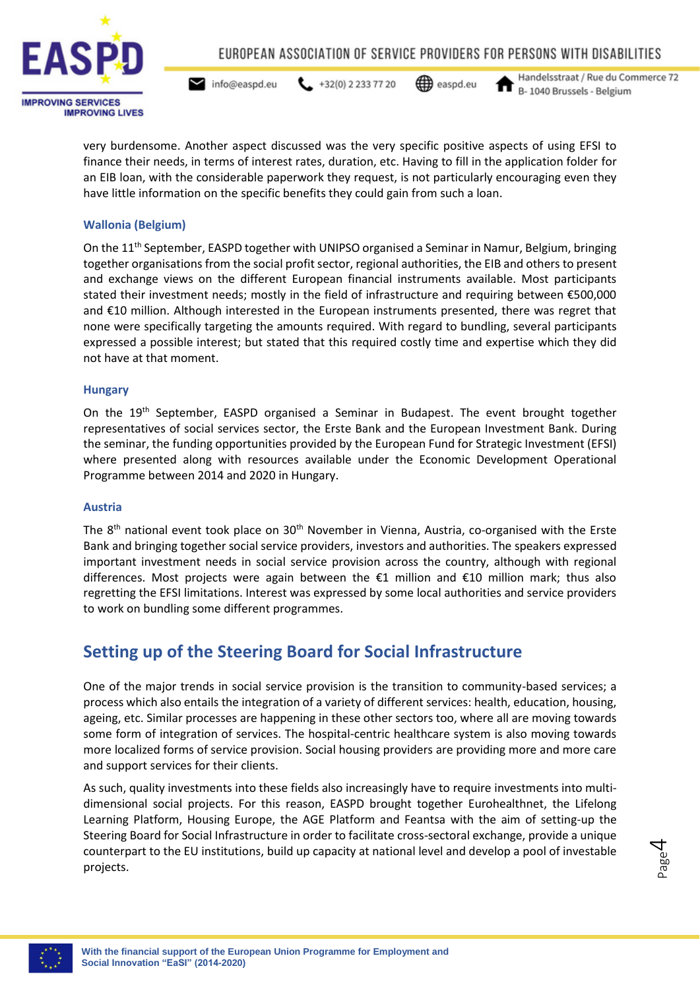

 $\blacktriangleright$  info@easpd.eu

easpd.eu  $432(0) 22337720$ 

Handelsstraat / Rue du Commerce 72 B-1040 Brussels - Belgium

very burdensome. Another aspect discussed was the very specific positive aspects of using EFSI to finance their needs, in terms of interest rates, duration, etc. Having to fill in the application folder for an EIB loan, with the considerable paperwork they request, is not particularly encouraging even they have little information on the specific benefits they could gain from such a loan.

### **Wallonia (Belgium)**

On the 11<sup>th</sup> September, EASPD together with UNIPSO organised a Seminar in Namur, Belgium, bringing together organisations from the social profit sector, regional authorities, the EIB and others to present and exchange views on the different European financial instruments available. Most participants stated their investment needs; mostly in the field of infrastructure and requiring between €500,000 and €10 million. Although interested in the European instruments presented, there was regret that none were specifically targeting the amounts required. With regard to bundling, several participants expressed a possible interest; but stated that this required costly time and expertise which they did not have at that moment.

### **Hungary**

On the 19<sup>th</sup> September, EASPD organised a Seminar in Budapest. The event brought together representatives of social services sector, the Erste Bank and the European Investment Bank. During the seminar, the funding opportunities provided by the European Fund for Strategic Investment (EFSI) where presented along with resources available under the Economic Development Operational Programme between 2014 and 2020 in Hungary.

#### **Austria**

The  $8<sup>th</sup>$  national event took place on  $30<sup>th</sup>$  November in Vienna, Austria, co-organised with the Erste Bank and bringing together social service providers, investors and authorities. The speakers expressed important investment needs in social service provision across the country, although with regional differences. Most projects were again between the €1 million and €10 million mark; thus also regretting the EFSI limitations. Interest was expressed by some local authorities and service providers to work on bundling some different programmes.

## <span id="page-3-0"></span>**Setting up of the Steering Board for Social Infrastructure**

One of the major trends in social service provision is the transition to community-based services; a process which also entails the integration of a variety of different services: health, education, housing, ageing, etc. Similar processes are happening in these other sectors too, where all are moving towards some form of integration of services. The hospital-centric healthcare system is also moving towards more localized forms of service provision. Social housing providers are providing more and more care and support services for their clients.

As such, quality investments into these fields also increasingly have to require investments into multidimensional social projects. For this reason, EASPD brought together Eurohealthnet, the Lifelong Learning Platform, Housing Europe, the AGE Platform and Feantsa with the aim of setting-up the Steering Board for Social Infrastructure in order to facilitate cross-sectoral exchange, provide a unique counterpart to the EU institutions, build up capacity at national level and develop a pool of investable projects.

Page 4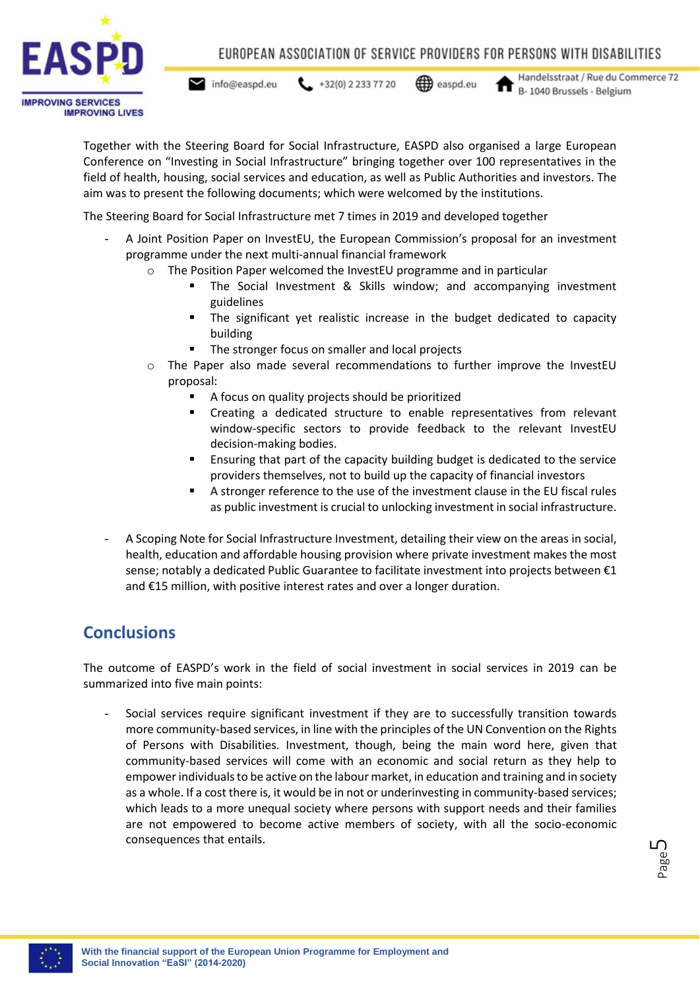

 $\blacktriangleright$  info@easpd.eu

```
432(0) 22337720<del></u> easpd.eu</del>
```


Handelsstraat / Rue du Commerce 72 B-1040 Brussels - Belgium

Together with the Steering Board for Social Infrastructure, EASPD also organised a large European Conference on "Investing in Social Infrastructure" bringing together over 100 representatives in the field of health, housing, social services and education, as well as Public Authorities and investors. The aim was to present the following documents; which were welcomed by the institutions.

The Steering Board for Social Infrastructure met 7 times in 2019 and developed together

- A Joint Position Paper on InvestEU, the European Commission's proposal for an investment programme under the next multi-annual financial framework
	- $\circ$  The Position Paper welcomed the InvestEU programme and in particular
		- The Social Investment & Skills window; and accompanying investment guidelines
		- **.** The significant yet realistic increase in the budget dedicated to capacity building
			- The stronger focus on smaller and local projects
	- o The Paper also made several recommendations to further improve the InvestEU proposal:
		- A focus on quality projects should be prioritized
		- Creating a dedicated structure to enable representatives from relevant window-specific sectors to provide feedback to the relevant InvestEU decision-making bodies.
		- Ensuring that part of the capacity building budget is dedicated to the service providers themselves, not to build up the capacity of financial investors
		- A stronger reference to the use of the investment clause in the EU fiscal rules as public investment is crucial to unlocking investment in social infrastructure.
- A Scoping Note for Social Infrastructure Investment, detailing their view on the areas in social, health, education and affordable housing provision where private investment makes the most sense; notably a dedicated Public Guarantee to facilitate investment into projects between €1 and €15 million, with positive interest rates and over a longer duration.

# <span id="page-4-0"></span>**Conclusions**

The outcome of EASPD's work in the field of social investment in social services in 2019 can be summarized into five main points:

- Social services require significant investment if they are to successfully transition towards more community-based services, in line with the principles of the UN Convention on the Rights of Persons with Disabilities. Investment, though, being the main word here, given that community-based services will come with an economic and social return as they help to empower individuals to be active on the labour market, in education and training and in society as a whole. If a cost there is, it would be in not or underinvesting in community-based services; which leads to a more unequal society where persons with support needs and their families are not empowered to become active members of society, with all the socio-economic consequences that entails.